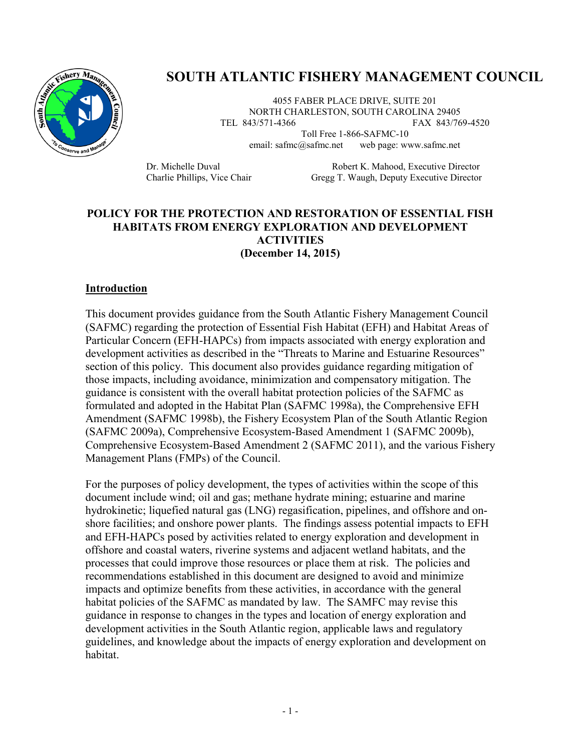

# **SOUTH ATLANTIC FISHERY MANAGEMENT COUNCIL**

4055 FABER PLACE DRIVE, SUITE 201 NORTH CHARLESTON, SOUTH CAROLINA 29405 TEL 843/571-4366 FAX 843/769-4520

Toll Free 1-866-SAFMC-10 email: safmc@safmc.net web page: www.safmc.net

Dr. Michelle Duval Robert K. Mahood, Executive Director Charlie Phillips, Vice Chair Gregg T. Waugh, Deputy Executive Director

#### **POLICY FOR THE PROTECTION AND RESTORATION OF ESSENTIAL FISH HABITATS FROM ENERGY EXPLORATION AND DEVELOPMENT ACTIVITIES (December 14, 2015)**

#### **Introduction**

This document provides guidance from the South Atlantic Fishery Management Council (SAFMC) regarding the protection of Essential Fish Habitat (EFH) and Habitat Areas of Particular Concern (EFH-HAPCs) from impacts associated with energy exploration and development activities as described in the "Threats to Marine and Estuarine Resources" section of this policy. This document also provides guidance regarding mitigation of those impacts, including avoidance, minimization and compensatory mitigation. The guidance is consistent with the overall habitat protection policies of the SAFMC as formulated and adopted in the Habitat Plan (SAFMC 1998a), the Comprehensive EFH Amendment (SAFMC 1998b), the Fishery Ecosystem Plan of the South Atlantic Region (SAFMC 2009a), Comprehensive Ecosystem-Based Amendment 1 (SAFMC 2009b), Comprehensive Ecosystem-Based Amendment 2 (SAFMC 2011), and the various Fishery Management Plans (FMPs) of the Council.

For the purposes of policy development, the types of activities within the scope of this document include wind; oil and gas; methane hydrate mining; estuarine and marine hydrokinetic; liquefied natural gas (LNG) regasification, pipelines, and offshore and onshore facilities; and onshore power plants. The findings assess potential impacts to EFH and EFH-HAPCs posed by activities related to energy exploration and development in offshore and coastal waters, riverine systems and adjacent wetland habitats, and the processes that could improve those resources or place them at risk. The policies and recommendations established in this document are designed to avoid and minimize impacts and optimize benefits from these activities, in accordance with the general habitat policies of the SAFMC as mandated by law. The SAMFC may revise this guidance in response to changes in the types and location of energy exploration and development activities in the South Atlantic region, applicable laws and regulatory guidelines, and knowledge about the impacts of energy exploration and development on habitat.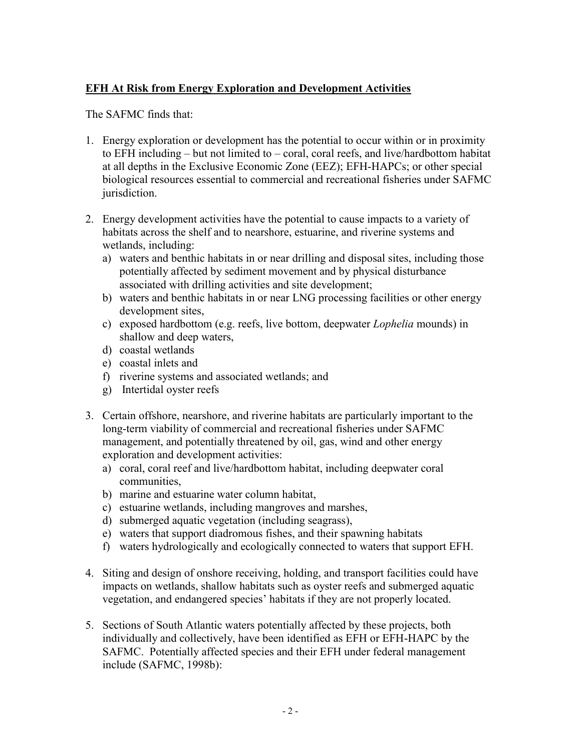## **EFH At Risk from Energy Exploration and Development Activities**

The SAFMC finds that:

- 1. Energy exploration or development has the potential to occur within or in proximity to EFH including – but not limited to – coral, coral reefs, and live/hardbottom habitat at all depths in the Exclusive Economic Zone (EEZ); EFH-HAPCs; or other special biological resources essential to commercial and recreational fisheries under SAFMC jurisdiction.
- 2. Energy development activities have the potential to cause impacts to a variety of habitats across the shelf and to nearshore, estuarine, and riverine systems and wetlands, including:
	- a) waters and benthic habitats in or near drilling and disposal sites, including those potentially affected by sediment movement and by physical disturbance associated with drilling activities and site development;
	- b) waters and benthic habitats in or near LNG processing facilities or other energy development sites,
	- c) exposed hardbottom (e.g. reefs, live bottom, deepwater *Lophelia* mounds) in shallow and deep waters,
	- d) coastal wetlands
	- e) coastal inlets and
	- f) riverine systems and associated wetlands; and
	- g) Intertidal oyster reefs
- 3. Certain offshore, nearshore, and riverine habitats are particularly important to the long-term viability of commercial and recreational fisheries under SAFMC management, and potentially threatened by oil, gas, wind and other energy exploration and development activities:
	- a) coral, coral reef and live/hardbottom habitat, including deepwater coral communities,
	- b) marine and estuarine water column habitat,
	- c) estuarine wetlands, including mangroves and marshes,
	- d) submerged aquatic vegetation (including seagrass),
	- e) waters that support diadromous fishes, and their spawning habitats
	- f) waters hydrologically and ecologically connected to waters that support EFH.
- 4. Siting and design of onshore receiving, holding, and transport facilities could have impacts on wetlands, shallow habitats such as oyster reefs and submerged aquatic vegetation, and endangered species' habitats if they are not properly located.
- 5. Sections of South Atlantic waters potentially affected by these projects, both individually and collectively, have been identified as EFH or EFH-HAPC by the SAFMC. Potentially affected species and their EFH under federal management include (SAFMC, 1998b):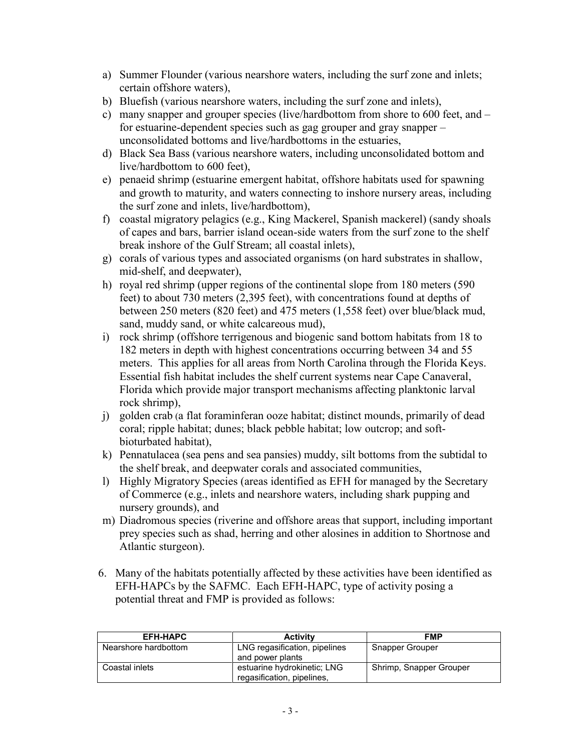- a) Summer Flounder (various nearshore waters, including the surf zone and inlets; certain offshore waters),
- b) Bluefish (various nearshore waters, including the surf zone and inlets),
- c) many snapper and grouper species (live/hardbottom from shore to 600 feet, and for estuarine-dependent species such as gag grouper and gray snapper – unconsolidated bottoms and live/hardbottoms in the estuaries,
- d) Black Sea Bass (various nearshore waters, including unconsolidated bottom and live/hardbottom to 600 feet),
- e) penaeid shrimp (estuarine emergent habitat, offshore habitats used for spawning and growth to maturity, and waters connecting to inshore nursery areas, including the surf zone and inlets, live/hardbottom),
- f) coastal migratory pelagics (e.g., King Mackerel, Spanish mackerel) (sandy shoals of capes and bars, barrier island ocean-side waters from the surf zone to the shelf break inshore of the Gulf Stream; all coastal inlets),
- g) corals of various types and associated organisms (on hard substrates in shallow, mid-shelf, and deepwater),
- h) royal red shrimp (upper regions of the continental slope from 180 meters (590 feet) to about 730 meters (2,395 feet), with concentrations found at depths of between 250 meters (820 feet) and 475 meters (1,558 feet) over blue/black mud, sand, muddy sand, or white calcareous mud),
- i) rock shrimp (offshore terrigenous and biogenic sand bottom habitats from 18 to 182 meters in depth with highest concentrations occurring between 34 and 55 meters. This applies for all areas from North Carolina through the Florida Keys. Essential fish habitat includes the shelf current systems near Cape Canaveral, Florida which provide major transport mechanisms affecting planktonic larval rock shrimp),
- j) golden crab (a flat foraminferan ooze habitat; distinct mounds, primarily of dead coral; ripple habitat; dunes; black pebble habitat; low outcrop; and softbioturbated habitat),
- k) Pennatulacea (sea pens and sea pansies) muddy, silt bottoms from the subtidal to the shelf break, and deepwater corals and associated communities,
- l) Highly Migratory Species (areas identified as EFH for managed by the Secretary of Commerce (e.g., inlets and nearshore waters, including shark pupping and nursery grounds), and
- m) Diadromous species (riverine and offshore areas that support, including important prey species such as shad, herring and other alosines in addition to Shortnose and Atlantic sturgeon).
- 6. Many of the habitats potentially affected by these activities have been identified as EFH-HAPCs by the SAFMC. Each EFH-HAPC, type of activity posing a potential threat and FMP is provided as follows:

| <b>EFH-HAPC</b>      | <b>Activity</b>                                           | <b>FMP</b>              |
|----------------------|-----------------------------------------------------------|-------------------------|
| Nearshore hardbottom | LNG regasification, pipelines<br>and power plants         | <b>Snapper Grouper</b>  |
| Coastal inlets       | estuarine hydrokinetic: LNG<br>regasification, pipelines, | Shrimp, Snapper Grouper |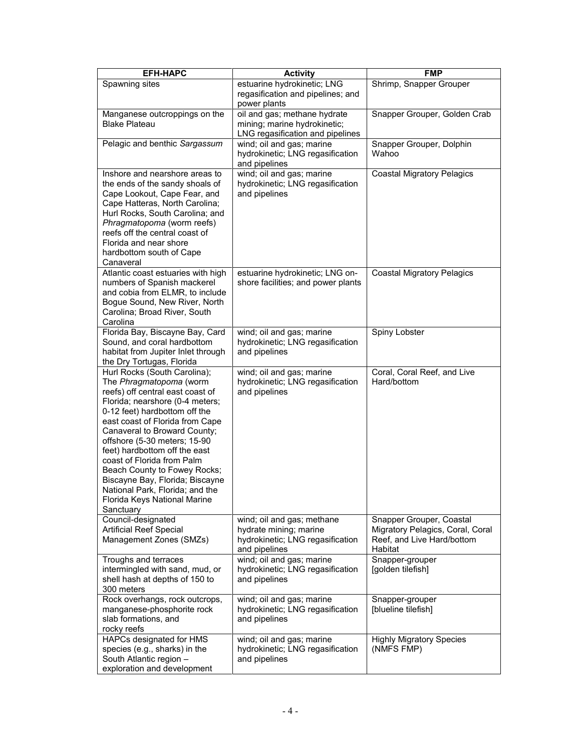| <b>EFH-HAPC</b>                                                                                                                                                                                                                                                                                                                                                                                                                                                                      | <b>Activity</b>                                                                                           | <b>FMP</b>                                                                                            |
|--------------------------------------------------------------------------------------------------------------------------------------------------------------------------------------------------------------------------------------------------------------------------------------------------------------------------------------------------------------------------------------------------------------------------------------------------------------------------------------|-----------------------------------------------------------------------------------------------------------|-------------------------------------------------------------------------------------------------------|
| Spawning sites                                                                                                                                                                                                                                                                                                                                                                                                                                                                       | estuarine hydrokinetic; LNG<br>regasification and pipelines; and<br>power plants                          | Shrimp, Snapper Grouper                                                                               |
| Manganese outcroppings on the<br><b>Blake Plateau</b>                                                                                                                                                                                                                                                                                                                                                                                                                                | oil and gas; methane hydrate<br>mining; marine hydrokinetic;<br>LNG regasification and pipelines          | Snapper Grouper, Golden Crab                                                                          |
| Pelagic and benthic Sargassum                                                                                                                                                                                                                                                                                                                                                                                                                                                        | wind; oil and gas; marine<br>hydrokinetic; LNG regasification<br>and pipelines                            | Snapper Grouper, Dolphin<br>Wahoo                                                                     |
| Inshore and nearshore areas to<br>the ends of the sandy shoals of<br>Cape Lookout, Cape Fear, and<br>Cape Hatteras, North Carolina;<br>Hurl Rocks, South Carolina; and<br>Phragmatopoma (worm reefs)<br>reefs off the central coast of<br>Florida and near shore<br>hardbottom south of Cape<br>Canaveral                                                                                                                                                                            | wind; oil and gas; marine<br>hydrokinetic; LNG regasification<br>and pipelines                            | <b>Coastal Migratory Pelagics</b>                                                                     |
| Atlantic coast estuaries with high<br>numbers of Spanish mackerel<br>and cobia from ELMR, to include<br>Bogue Sound, New River, North<br>Carolina; Broad River, South<br>Carolina                                                                                                                                                                                                                                                                                                    | estuarine hydrokinetic; LNG on-<br>shore facilities; and power plants                                     | <b>Coastal Migratory Pelagics</b>                                                                     |
| Florida Bay, Biscayne Bay, Card<br>Sound, and coral hardbottom<br>habitat from Jupiter Inlet through<br>the Dry Tortugas, Florida                                                                                                                                                                                                                                                                                                                                                    | wind; oil and gas; marine<br>hydrokinetic; LNG regasification<br>and pipelines                            | Spiny Lobster                                                                                         |
| Hurl Rocks (South Carolina);<br>The Phragmatopoma (worm<br>reefs) off central east coast of<br>Florida; nearshore (0-4 meters;<br>0-12 feet) hardbottom off the<br>east coast of Florida from Cape<br>Canaveral to Broward County;<br>offshore (5-30 meters; 15-90<br>feet) hardbottom off the east<br>coast of Florida from Palm<br>Beach County to Fowey Rocks;<br>Biscayne Bay, Florida; Biscayne<br>National Park, Florida; and the<br>Florida Keys National Marine<br>Sanctuary | wind; oil and gas; marine<br>hydrokinetic; LNG regasification<br>and pipelines                            | Coral, Coral Reef, and Live<br>Hard/bottom                                                            |
| Council-designated<br><b>Artificial Reef Special</b><br>Management Zones (SMZs)                                                                                                                                                                                                                                                                                                                                                                                                      | wind; oil and gas; methane<br>hydrate mining; marine<br>hydrokinetic; LNG regasification<br>and pipelines | Snapper Grouper, Coastal<br>Migratory Pelagics, Coral, Coral<br>Reef, and Live Hard/bottom<br>Habitat |
| Troughs and terraces<br>intermingled with sand, mud, or<br>shell hash at depths of 150 to<br>300 meters                                                                                                                                                                                                                                                                                                                                                                              | wind; oil and gas; marine<br>hydrokinetic; LNG regasification<br>and pipelines                            | Snapper-grouper<br>[golden tilefish]                                                                  |
| Rock overhangs, rock outcrops,<br>manganese-phosphorite rock<br>slab formations, and<br>rocky reefs                                                                                                                                                                                                                                                                                                                                                                                  | wind; oil and gas; marine<br>hydrokinetic; LNG regasification<br>and pipelines                            | Snapper-grouper<br>[blueline tilefish]                                                                |
| HAPCs designated for HMS<br>species (e.g., sharks) in the<br>South Atlantic region -<br>exploration and development                                                                                                                                                                                                                                                                                                                                                                  | wind; oil and gas; marine<br>hydrokinetic; LNG regasification<br>and pipelines                            | <b>Highly Migratory Species</b><br>(NMFS FMP)                                                         |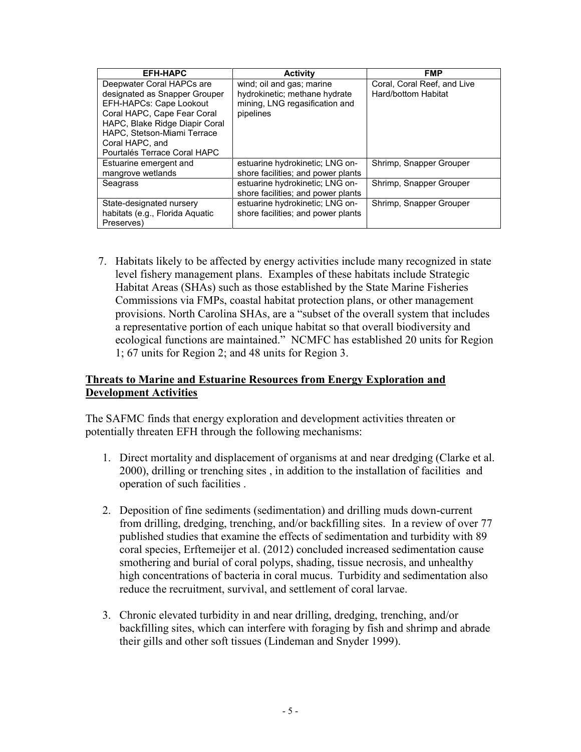| <b>EFH-HAPC</b>                                                                                                                                                                                                                          | <b>Activity</b>                                                                                           | FMP                                                |
|------------------------------------------------------------------------------------------------------------------------------------------------------------------------------------------------------------------------------------------|-----------------------------------------------------------------------------------------------------------|----------------------------------------------------|
| Deepwater Coral HAPCs are<br>designated as Snapper Grouper<br>EFH-HAPCs: Cape Lookout<br>Coral HAPC, Cape Fear Coral<br>HAPC, Blake Ridge Diapir Coral<br>HAPC. Stetson-Miami Terrace<br>Coral HAPC, and<br>Pourtalés Terrace Coral HAPC | wind; oil and gas; marine<br>hydrokinetic; methane hydrate<br>mining, LNG regasification and<br>pipelines | Coral, Coral Reef, and Live<br>Hard/bottom Habitat |
| Estuarine emergent and<br>mangrove wetlands                                                                                                                                                                                              | estuarine hydrokinetic; LNG on-<br>shore facilities; and power plants                                     | Shrimp, Snapper Grouper                            |
| Seagrass                                                                                                                                                                                                                                 | estuarine hydrokinetic; LNG on-<br>shore facilities; and power plants                                     | Shrimp, Snapper Grouper                            |
| State-designated nursery<br>habitats (e.g., Florida Aquatic<br>Preserves)                                                                                                                                                                | estuarine hydrokinetic; LNG on-<br>shore facilities; and power plants                                     | Shrimp, Snapper Grouper                            |

7. Habitats likely to be affected by energy activities include many recognized in state level fishery management plans. Examples of these habitats include Strategic Habitat Areas (SHAs) such as those established by the State Marine Fisheries Commissions via FMPs, coastal habitat protection plans, or other management provisions. North Carolina SHAs, are a "subset of the overall system that includes a representative portion of each unique habitat so that overall biodiversity and ecological functions are maintained." NCMFC has established 20 units for Region 1; 67 units for Region 2; and 48 units for Region 3.

#### **Threats to Marine and Estuarine Resources from Energy Exploration and Development Activities**

The SAFMC finds that energy exploration and development activities threaten or potentially threaten EFH through the following mechanisms:

- 1. Direct mortality and displacement of organisms at and near dredging (Clarke et al. 2000), drilling or trenching sites , in addition to the installation of facilities and operation of such facilities .
- 2. Deposition of fine sediments (sedimentation) and drilling muds down-current from drilling, dredging, trenching, and/or backfilling sites. In a review of over 77 published studies that examine the effects of sedimentation and turbidity with 89 coral species, Erftemeijer et al. (2012) concluded increased sedimentation cause smothering and burial of coral polyps, shading, tissue necrosis, and unhealthy high concentrations of bacteria in coral mucus. Turbidity and sedimentation also reduce the recruitment, survival, and settlement of coral larvae.
- 3. Chronic elevated turbidity in and near drilling, dredging, trenching, and/or backfilling sites, which can interfere with foraging by fish and shrimp and abrade their gills and other soft tissues (Lindeman and Snyder 1999).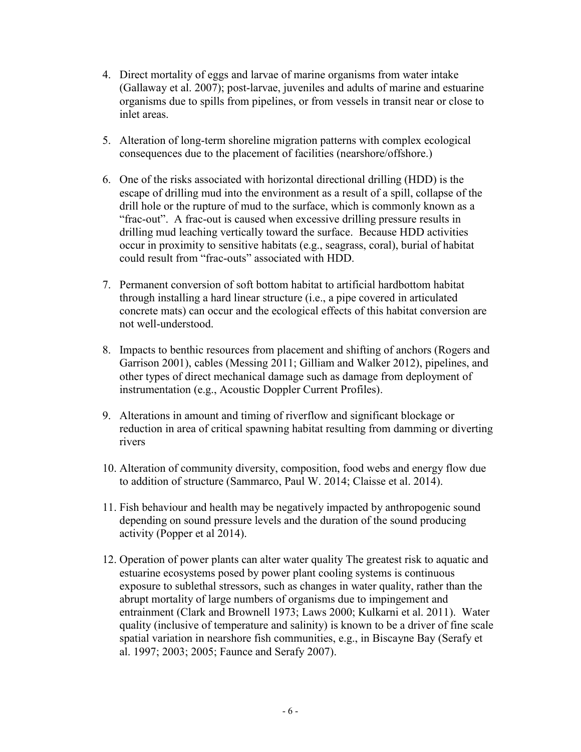- 4. Direct mortality of eggs and larvae of marine organisms from water intake (Gallaway et al. 2007); post-larvae, juveniles and adults of marine and estuarine organisms due to spills from pipelines, or from vessels in transit near or close to inlet areas.
- 5. Alteration of long-term shoreline migration patterns with complex ecological consequences due to the placement of facilities (nearshore/offshore.)
- 6. One of the risks associated with horizontal directional drilling (HDD) is the escape of drilling mud into the environment as a result of a spill, collapse of the drill hole or the rupture of mud to the surface, which is commonly known as a "frac-out". A frac-out is caused when excessive drilling pressure results in drilling mud leaching vertically toward the surface. Because HDD activities occur in proximity to sensitive habitats (e.g., seagrass, coral), burial of habitat could result from "frac-outs" associated with HDD.
- 7. Permanent conversion of soft bottom habitat to artificial hardbottom habitat through installing a hard linear structure (i.e., a pipe covered in articulated concrete mats) can occur and the ecological effects of this habitat conversion are not well-understood.
- 8. Impacts to benthic resources from placement and shifting of anchors (Rogers and Garrison 2001), cables (Messing 2011; Gilliam and Walker 2012), pipelines, and other types of direct mechanical damage such as damage from deployment of instrumentation (e.g., Acoustic Doppler Current Profiles).
- 9. Alterations in amount and timing of riverflow and significant blockage or reduction in area of critical spawning habitat resulting from damming or diverting rivers
- 10. Alteration of community diversity, composition, food webs and energy flow due to addition of structure (Sammarco, Paul W. 2014; Claisse et al. 2014).
- 11. Fish behaviour and health may be negatively impacted by anthropogenic sound depending on sound pressure levels and the duration of the sound producing activity (Popper et al 2014).
- 12. Operation of power plants can alter water quality The greatest risk to aquatic and estuarine ecosystems posed by power plant cooling systems is continuous exposure to sublethal stressors, such as changes in water quality, rather than the abrupt mortality of large numbers of organisms due to impingement and entrainment (Clark and Brownell 1973; Laws 2000; Kulkarni et al. 2011). Water quality (inclusive of temperature and salinity) is known to be a driver of fine scale spatial variation in nearshore fish communities, e.g., in Biscayne Bay (Serafy et al. 1997; 2003; 2005; Faunce and Serafy 2007).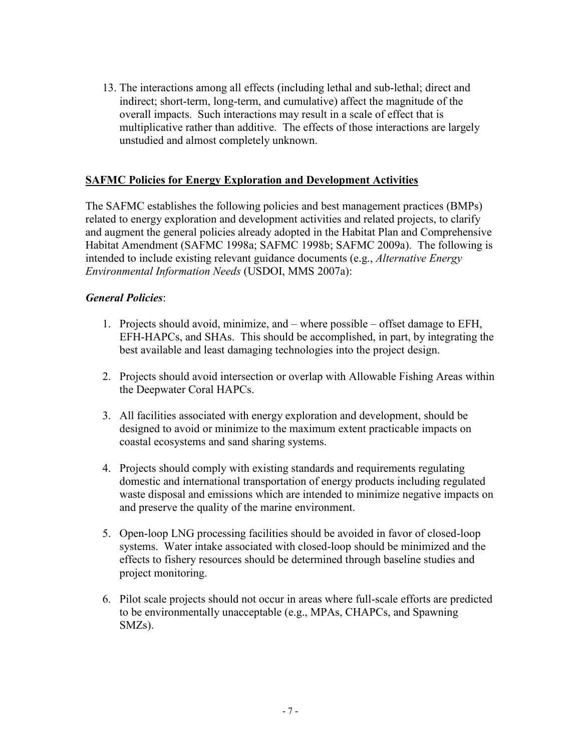13. The interactions among all effects (including lethal and sub-lethal; direct and indirect; short-term, long-term, and cumulative) affect the magnitude of the overall impacts. Such interactions may result in a scale of effect that is multiplicative rather than additive. The effects of those interactions are largely unstudied and almost completely unknown.

### **SAFMC Policies for Energy Exploration and Development Activities**

The SAFMC establishes the following policies and best management practices (BMPs) related to energy exploration and development activities and related projects, to clarify and augment the general policies already adopted in the Habitat Plan and Comprehensive Habitat Amendment (SAFMC 1998a; SAFMC 1998b; SAFMC 2009a). The following is intended to include existing relevant guidance documents (e.g., *Alternative Energy Environmental Information Needs* (USDOI, MMS 2007a):

#### *General Policies*:

- 1. Projects should avoid, minimize, and where possible offset damage to EFH, EFH-HAPCs, and SHAs. This should be accomplished, in part, by integrating the best available and least damaging technologies into the project design.
- 2. Projects should avoid intersection or overlap with Allowable Fishing Areas within the Deepwater Coral HAPCs.
- 3. All facilities associated with energy exploration and development, should be designed to avoid or minimize to the maximum extent practicable impacts on coastal ecosystems and sand sharing systems.
- 4. Projects should comply with existing standards and requirements regulating domestic and international transportation of energy products including regulated waste disposal and emissions which are intended to minimize negative impacts on and preserve the quality of the marine environment.
- 5. Open-loop LNG processing facilities should be avoided in favor of closed-loop systems. Water intake associated with closed-loop should be minimized and the effects to fishery resources should be determined through baseline studies and project monitoring.
- 6. Pilot scale projects should not occur in areas where full-scale efforts are predicted to be environmentally unacceptable (e.g., MPAs, CHAPCs, and Spawning SMZs).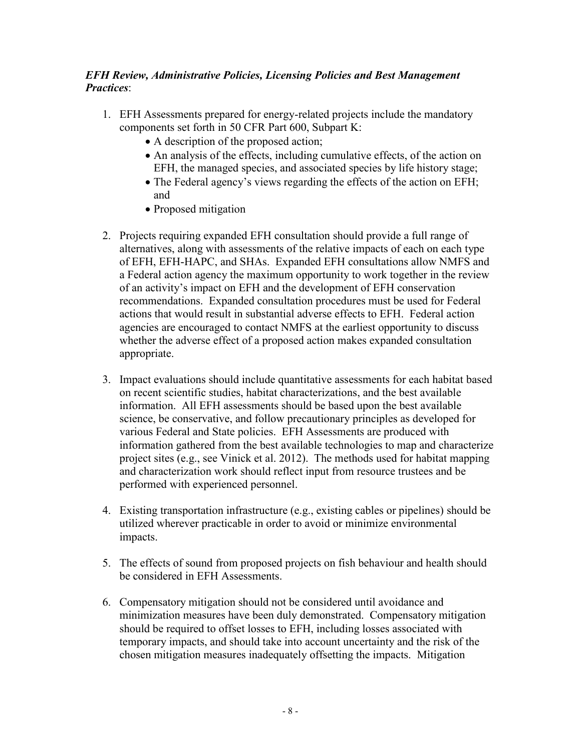## *EFH Review, Administrative Policies, Licensing Policies and Best Management Practices*:

- 1. EFH Assessments prepared for energy-related projects include the mandatory components set forth in 50 CFR Part 600, Subpart K:
	- A description of the proposed action;
	- An analysis of the effects, including cumulative effects, of the action on EFH, the managed species, and associated species by life history stage;
	- The Federal agency's views regarding the effects of the action on EFH; and
	- Proposed mitigation
- 2. Projects requiring expanded EFH consultation should provide a full range of alternatives, along with assessments of the relative impacts of each on each type of EFH, EFH-HAPC, and SHAs. Expanded EFH consultations allow NMFS and a Federal action agency the maximum opportunity to work together in the review of an activity's impact on EFH and the development of EFH conservation recommendations. Expanded consultation procedures must be used for Federal actions that would result in substantial adverse effects to EFH. Federal action agencies are encouraged to contact NMFS at the earliest opportunity to discuss whether the adverse effect of a proposed action makes expanded consultation appropriate.
- 3. Impact evaluations should include quantitative assessments for each habitat based on recent scientific studies, habitat characterizations, and the best available information. All EFH assessments should be based upon the best available science, be conservative, and follow precautionary principles as developed for various Federal and State policies. EFH Assessments are produced with information gathered from the best available technologies to map and characterize project sites (e.g., see Vinick et al. 2012). The methods used for habitat mapping and characterization work should reflect input from resource trustees and be performed with experienced personnel.
- 4. Existing transportation infrastructure (e.g., existing cables or pipelines) should be utilized wherever practicable in order to avoid or minimize environmental impacts.
- 5. The effects of sound from proposed projects on fish behaviour and health should be considered in EFH Assessments.
- 6. Compensatory mitigation should not be considered until avoidance and minimization measures have been duly demonstrated. Compensatory mitigation should be required to offset losses to EFH, including losses associated with temporary impacts, and should take into account uncertainty and the risk of the chosen mitigation measures inadequately offsetting the impacts. Mitigation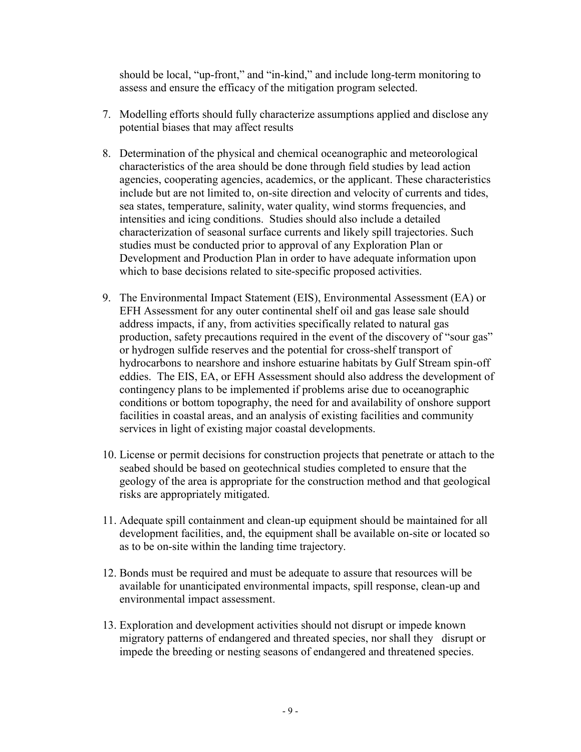should be local, "up-front," and "in-kind," and include long-term monitoring to assess and ensure the efficacy of the mitigation program selected.

- 7. Modelling efforts should fully characterize assumptions applied and disclose any potential biases that may affect results
- 8. Determination of the physical and chemical oceanographic and meteorological characteristics of the area should be done through field studies by lead action agencies, cooperating agencies, academics, or the applicant. These characteristics include but are not limited to, on-site direction and velocity of currents and tides, sea states, temperature, salinity, water quality, wind storms frequencies, and intensities and icing conditions. Studies should also include a detailed characterization of seasonal surface currents and likely spill trajectories. Such studies must be conducted prior to approval of any Exploration Plan or Development and Production Plan in order to have adequate information upon which to base decisions related to site-specific proposed activities.
- 9. The Environmental Impact Statement (EIS), Environmental Assessment (EA) or EFH Assessment for any outer continental shelf oil and gas lease sale should address impacts, if any, from activities specifically related to natural gas production, safety precautions required in the event of the discovery of "sour gas" or hydrogen sulfide reserves and the potential for cross-shelf transport of hydrocarbons to nearshore and inshore estuarine habitats by Gulf Stream spin-off eddies. The EIS, EA, or EFH Assessment should also address the development of contingency plans to be implemented if problems arise due to oceanographic conditions or bottom topography, the need for and availability of onshore support facilities in coastal areas, and an analysis of existing facilities and community services in light of existing major coastal developments.
- 10. License or permit decisions for construction projects that penetrate or attach to the seabed should be based on geotechnical studies completed to ensure that the geology of the area is appropriate for the construction method and that geological risks are appropriately mitigated.
- 11. Adequate spill containment and clean-up equipment should be maintained for all development facilities, and, the equipment shall be available on-site or located so as to be on-site within the landing time trajectory.
- 12. Bonds must be required and must be adequate to assure that resources will be available for unanticipated environmental impacts, spill response, clean-up and environmental impact assessment.
- 13. Exploration and development activities should not disrupt or impede known migratory patterns of endangered and threated species, nor shall they disrupt or impede the breeding or nesting seasons of endangered and threatened species.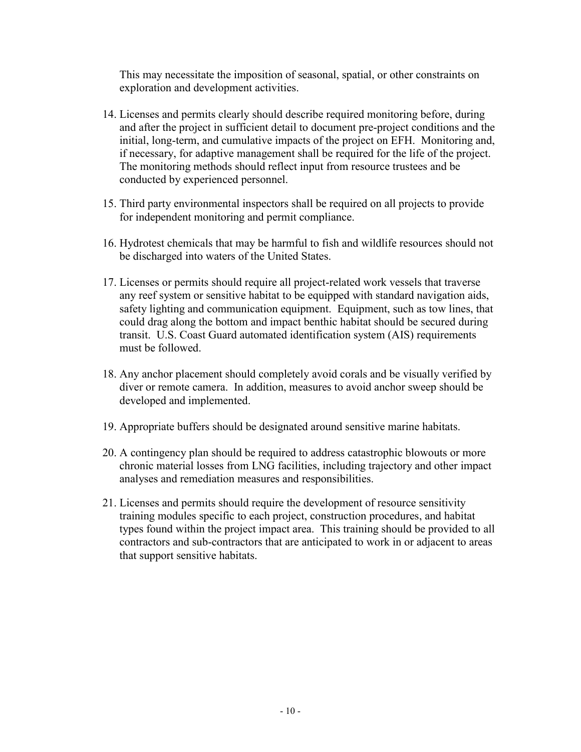This may necessitate the imposition of seasonal, spatial, or other constraints on exploration and development activities.

- 14. Licenses and permits clearly should describe required monitoring before, during and after the project in sufficient detail to document pre-project conditions and the initial, long-term, and cumulative impacts of the project on EFH. Monitoring and, if necessary, for adaptive management shall be required for the life of the project. The monitoring methods should reflect input from resource trustees and be conducted by experienced personnel.
- 15. Third party environmental inspectors shall be required on all projects to provide for independent monitoring and permit compliance.
- 16. Hydrotest chemicals that may be harmful to fish and wildlife resources should not be discharged into waters of the United States.
- 17. Licenses or permits should require all project-related work vessels that traverse any reef system or sensitive habitat to be equipped with standard navigation aids, safety lighting and communication equipment. Equipment, such as tow lines, that could drag along the bottom and impact benthic habitat should be secured during transit. U.S. Coast Guard automated identification system (AIS) requirements must be followed.
- 18. Any anchor placement should completely avoid corals and be visually verified by diver or remote camera. In addition, measures to avoid anchor sweep should be developed and implemented.
- 19. Appropriate buffers should be designated around sensitive marine habitats.
- 20. A contingency plan should be required to address catastrophic blowouts or more chronic material losses from LNG facilities, including trajectory and other impact analyses and remediation measures and responsibilities.
- 21. Licenses and permits should require the development of resource sensitivity training modules specific to each project, construction procedures, and habitat types found within the project impact area. This training should be provided to all contractors and sub-contractors that are anticipated to work in or adjacent to areas that support sensitive habitats.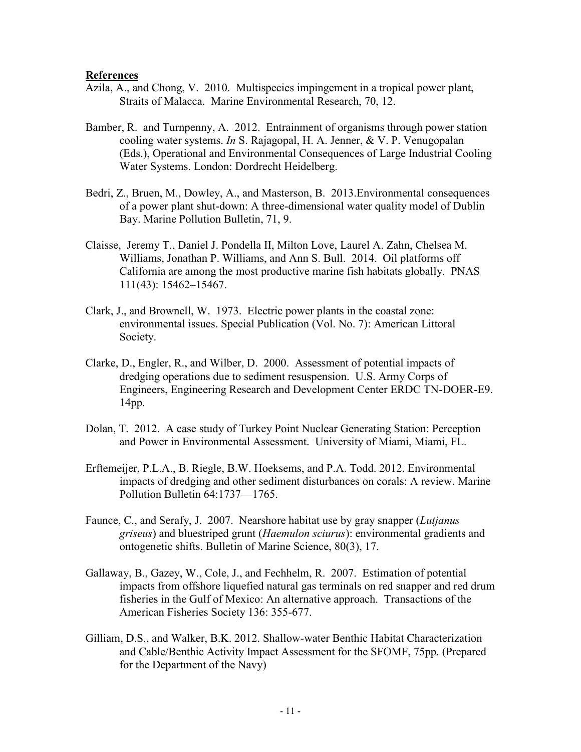#### **References**

- Azila, A., and Chong, V. 2010. Multispecies impingement in a tropical power plant, Straits of Malacca. Marine Environmental Research, 70, 12.
- Bamber, R. and Turnpenny, A. 2012. Entrainment of organisms through power station cooling water systems. *In* S. Rajagopal, H. A. Jenner, & V. P. Venugopalan (Eds.), Operational and Environmental Consequences of Large Industrial Cooling Water Systems. London: Dordrecht Heidelberg.
- Bedri, Z., Bruen, M., Dowley, A., and Masterson, B. 2013.Environmental consequences of a power plant shut-down: A three-dimensional water quality model of Dublin Bay. Marine Pollution Bulletin, 71, 9.
- Claisse, Jeremy T., Daniel J. Pondella II, Milton Love, Laurel A. Zahn, Chelsea M. Williams, Jonathan P. Williams, and Ann S. Bull. 2014. Oil platforms off California are among the most productive marine fish habitats globally. PNAS 111(43): 15462–15467.
- Clark, J., and Brownell, W. 1973. Electric power plants in the coastal zone: environmental issues. Special Publication (Vol. No. 7): American Littoral Society.
- Clarke, D., Engler, R., and Wilber, D. 2000. Assessment of potential impacts of dredging operations due to sediment resuspension. U.S. Army Corps of Engineers, Engineering Research and Development Center ERDC TN-DOER-E9. 14pp.
- Dolan, T. 2012. A case study of Turkey Point Nuclear Generating Station: Perception and Power in Environmental Assessment. University of Miami, Miami, FL.
- Erftemeijer, P.L.A., B. Riegle, B.W. Hoeksems, and P.A. Todd. 2012. Environmental impacts of dredging and other sediment disturbances on corals: A review. Marine Pollution Bulletin 64:1737—1765.
- Faunce, C., and Serafy, J. 2007. Nearshore habitat use by gray snapper (*Lutjanus griseus*) and bluestriped grunt (*Haemulon sciurus*): environmental gradients and ontogenetic shifts. Bulletin of Marine Science, 80(3), 17.
- Gallaway, B., Gazey, W., Cole, J., and Fechhelm, R. 2007. Estimation of potential impacts from offshore liquefied natural gas terminals on red snapper and red drum fisheries in the Gulf of Mexico: An alternative approach. Transactions of the American Fisheries Society 136: 355-677.
- Gilliam, D.S., and Walker, B.K. 2012. Shallow-water Benthic Habitat Characterization and Cable/Benthic Activity Impact Assessment for the SFOMF, 75pp. (Prepared for the Department of the Navy)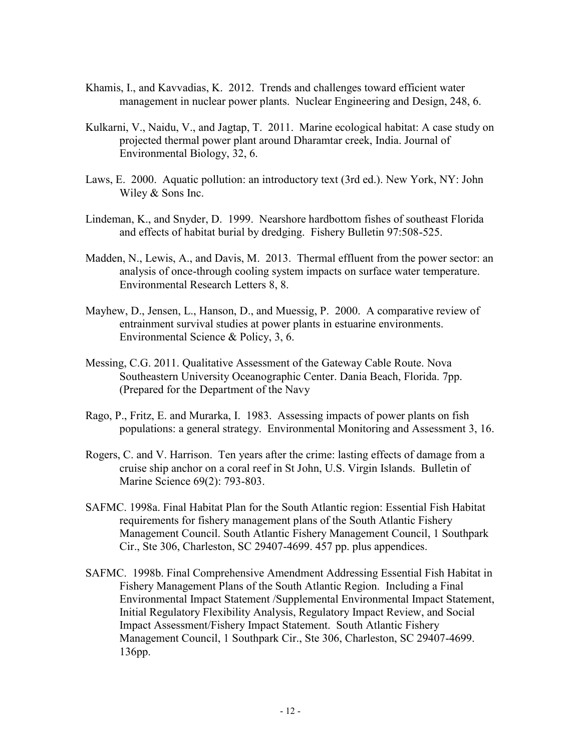- Khamis, I., and Kavvadias, K. 2012. Trends and challenges toward efficient water management in nuclear power plants. Nuclear Engineering and Design, 248, 6.
- Kulkarni, V., Naidu, V., and Jagtap, T. 2011. Marine ecological habitat: A case study on projected thermal power plant around Dharamtar creek, India. Journal of Environmental Biology, 32, 6.
- Laws, E. 2000. Aquatic pollution: an introductory text (3rd ed.). New York, NY: John Wiley & Sons Inc.
- Lindeman, K., and Snyder, D. 1999. Nearshore hardbottom fishes of southeast Florida and effects of habitat burial by dredging. Fishery Bulletin 97:508-525.
- Madden, N., Lewis, A., and Davis, M. 2013. Thermal effluent from the power sector: an analysis of once-through cooling system impacts on surface water temperature. Environmental Research Letters 8, 8.
- Mayhew, D., Jensen, L., Hanson, D., and Muessig, P. 2000. A comparative review of entrainment survival studies at power plants in estuarine environments. Environmental Science & Policy, 3, 6.
- Messing, C.G. 2011. Qualitative Assessment of the Gateway Cable Route. Nova Southeastern University Oceanographic Center. Dania Beach, Florida. 7pp. (Prepared for the Department of the Navy
- Rago, P., Fritz, E. and Murarka, I. 1983. Assessing impacts of power plants on fish populations: a general strategy. Environmental Monitoring and Assessment 3, 16.
- Rogers, C. and V. Harrison. Ten years after the crime: lasting effects of damage from a cruise ship anchor on a coral reef in St John, U.S. Virgin Islands. Bulletin of Marine Science 69(2): 793-803.
- SAFMC. 1998a. Final Habitat Plan for the South Atlantic region: Essential Fish Habitat requirements for fishery management plans of the South Atlantic Fishery Management Council. South Atlantic Fishery Management Council, 1 Southpark Cir., Ste 306, Charleston, SC 29407-4699. 457 pp. plus appendices.
- SAFMC. 1998b. Final Comprehensive Amendment Addressing Essential Fish Habitat in Fishery Management Plans of the South Atlantic Region. Including a Final Environmental Impact Statement /Supplemental Environmental Impact Statement, Initial Regulatory Flexibility Analysis, Regulatory Impact Review, and Social Impact Assessment/Fishery Impact Statement. South Atlantic Fishery Management Council, 1 Southpark Cir., Ste 306, Charleston, SC 29407-4699. 136pp.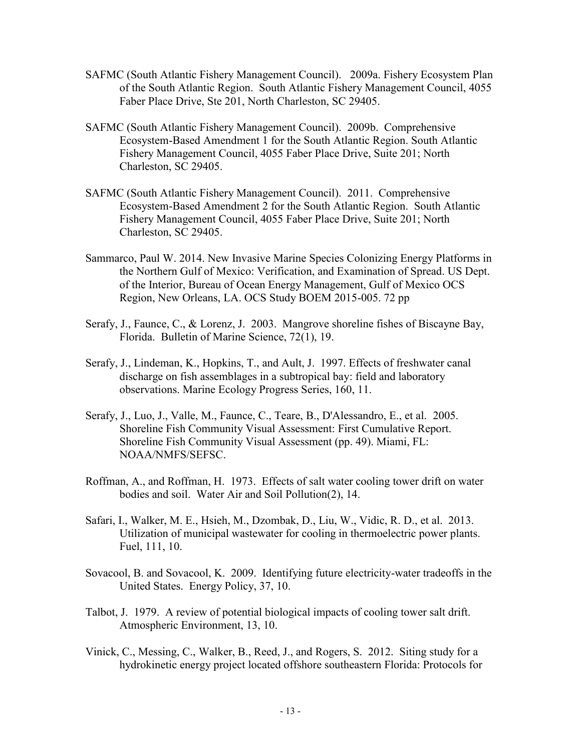- SAFMC (South Atlantic Fishery Management Council). 2009a. Fishery Ecosystem Plan of the South Atlantic Region. South Atlantic Fishery Management Council, 4055 Faber Place Drive, Ste 201, North Charleston, SC 29405.
- SAFMC (South Atlantic Fishery Management Council). 2009b. Comprehensive Ecosystem-Based Amendment 1 for the South Atlantic Region. South Atlantic Fishery Management Council, 4055 Faber Place Drive, Suite 201; North Charleston, SC 29405.
- SAFMC (South Atlantic Fishery Management Council). 2011. Comprehensive Ecosystem-Based Amendment 2 for the South Atlantic Region. South Atlantic Fishery Management Council, 4055 Faber Place Drive, Suite 201; North Charleston, SC 29405.
- Sammarco, Paul W. 2014. New Invasive Marine Species Colonizing Energy Platforms in the Northern Gulf of Mexico: Verification, and Examination of Spread. US Dept. of the Interior, Bureau of Ocean Energy Management, Gulf of Mexico OCS Region, New Orleans, LA. OCS Study BOEM 2015-005. 72 pp
- Serafy, J., Faunce, C., & Lorenz, J. 2003. Mangrove shoreline fishes of Biscayne Bay, Florida. Bulletin of Marine Science, 72(1), 19.
- Serafy, J., Lindeman, K., Hopkins, T., and Ault, J. 1997. Effects of freshwater canal discharge on fish assemblages in a subtropical bay: field and laboratory observations. Marine Ecology Progress Series, 160, 11.
- Serafy, J., Luo, J., Valle, M., Faunce, C., Teare, B., D'Alessandro, E., et al. 2005. Shoreline Fish Community Visual Assessment: First Cumulative Report. Shoreline Fish Community Visual Assessment (pp. 49). Miami, FL: NOAA/NMFS/SEFSC.
- Roffman, A., and Roffman, H. 1973. Effects of salt water cooling tower drift on water bodies and soil. Water Air and Soil Pollution(2), 14.
- Safari, I., Walker, M. E., Hsieh, M., Dzombak, D., Liu, W., Vidic, R. D., et al. 2013. Utilization of municipal wastewater for cooling in thermoelectric power plants. Fuel, 111, 10.
- Sovacool, B. and Sovacool, K. 2009. Identifying future electricity-water tradeoffs in the United States. Energy Policy, 37, 10.
- Talbot, J. 1979. A review of potential biological impacts of cooling tower salt drift. Atmospheric Environment, 13, 10.
- Vinick, C., Messing, C., Walker, B., Reed, J., and Rogers, S. 2012. Siting study for a hydrokinetic energy project located offshore southeastern Florida: Protocols for